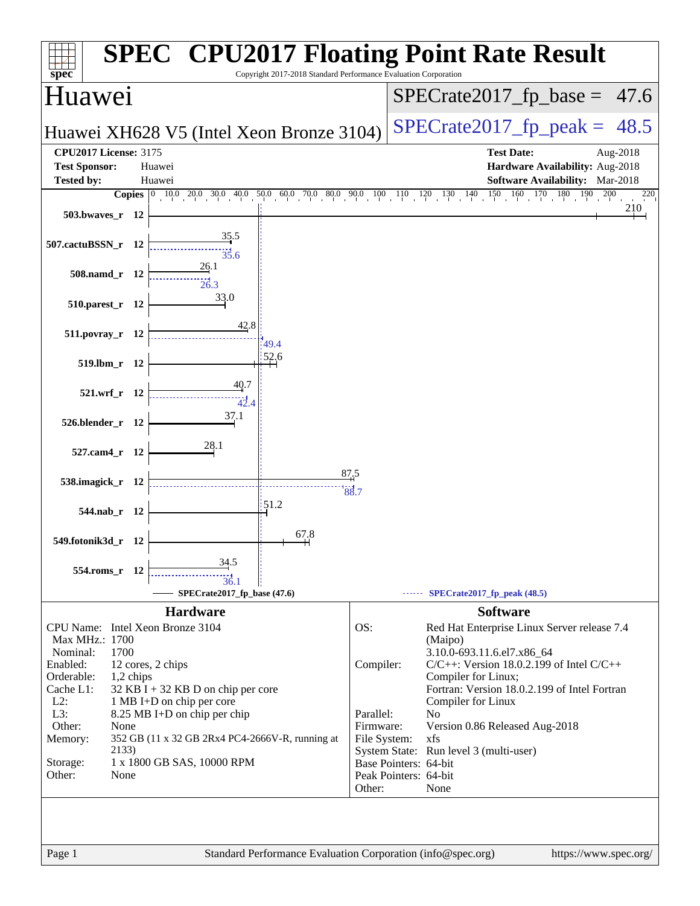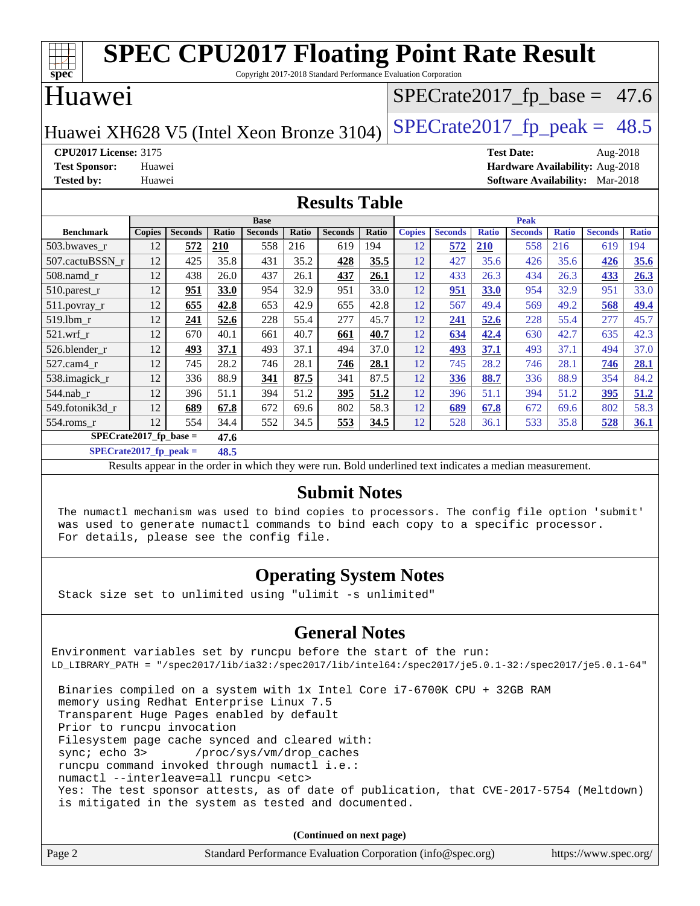| <b>SPEC CPU2017 Floating Point Rate Result</b><br>Copyright 2017-2018 Standard Performance Evaluation Corporation<br>spec <sup>®</sup> |               |                |              |                |       |                |       |               |                |              |                |              |                |              |
|----------------------------------------------------------------------------------------------------------------------------------------|---------------|----------------|--------------|----------------|-------|----------------|-------|---------------|----------------|--------------|----------------|--------------|----------------|--------------|
| Huawei<br>$SPECrate2017_fp\_base = 47.6$                                                                                               |               |                |              |                |       |                |       |               |                |              |                |              |                |              |
| $SPECTate2017$ _fp_peak = 48.5<br>Huawei XH628 V5 (Intel Xeon Bronze 3104)                                                             |               |                |              |                |       |                |       |               |                |              |                |              |                |              |
| <b>CPU2017 License: 3175</b><br><b>Test Date:</b><br>Aug-2018                                                                          |               |                |              |                |       |                |       |               |                |              |                |              |                |              |
| Hardware Availability: Aug-2018<br><b>Test Sponsor:</b><br>Huawei                                                                      |               |                |              |                |       |                |       |               |                |              |                |              |                |              |
| <b>Tested by:</b><br><b>Software Availability:</b> Mar-2018<br>Huawei                                                                  |               |                |              |                |       |                |       |               |                |              |                |              |                |              |
| <b>Results Table</b>                                                                                                                   |               |                |              |                |       |                |       |               |                |              |                |              |                |              |
|                                                                                                                                        |               |                |              | <b>Base</b>    |       |                |       | <b>Peak</b>   |                |              |                |              |                |              |
| <b>Benchmark</b>                                                                                                                       | <b>Copies</b> | <b>Seconds</b> | <b>Ratio</b> | <b>Seconds</b> | Ratio | <b>Seconds</b> | Ratio | <b>Copies</b> | <b>Seconds</b> | <b>Ratio</b> | <b>Seconds</b> | <b>Ratio</b> | <b>Seconds</b> | <b>Ratio</b> |
| 503.bwaves_r                                                                                                                           | 12            | 572            | 210          | 558            | 216   | 619            | 194   | 12            | 572            | <b>210</b>   | 558            | 216          | 619            | 194          |
| 507.cactuBSSN r                                                                                                                        | 12            | 425            | 35.8         | 431            | 35.2  | 428            | 35.5  | 12            | 427            | 35.6         | 426            | 35.6         | 426            | 35.6         |
| $508$ .namd $r$                                                                                                                        | 12            | 438            | 26.0         | 437            | 26.1  | 437            | 26.1  | 12            | 433            | 26.3         | 434            | 26.3         | 433            | 26.3         |
| 510.parest_r                                                                                                                           | 12            | 951            | 33.0         | 954            | 32.9  | 951            | 33.0  | 12            | 951            | <b>33.0</b>  | 954            | 32.9         | 951            | 33.0         |
| $511$ . povray r                                                                                                                       | 12            | 655            | 42.8         | 653            | 42.9  | 655            | 42.8  | 12            | 567            | 49.4         | 569            | 49.2         | 568            | 49.4         |
| 519.lbm r                                                                                                                              | 12            | 241            | 52.6         | 228            | 55.4  | 277            | 45.7  | 12            | 241            | 52.6         | 228            | 55.4         | 277            | 45.7         |
| 521.wrf                                                                                                                                | 12            | 670            | 40.1         | 661            | 40.7  | 661            | 40.7  | 12            | 634            | 42.4         | 630            | 42.7         | 635            | 42.3         |
| 526.blender r                                                                                                                          | 12            | 493            | 37.1         | 493            | 37.1  | 494            | 37.0  | 12            | 493            | 37.1         | 493            | 37.1         | 494            | 37.0         |
| 527.cam4_r                                                                                                                             | 12            | 745            | 28.2         | 746            | 28.1  | 746            | 28.1  | 12            | 745            | 28.2         | 746            | 28.1         | 746            | 28.1         |
| 538.imagick_r                                                                                                                          | 12            | 336            | 88.9         | 341            | 87.5  | 341            | 87.5  | 12            | 336            | 88.7         | 336            | 88.9         | 354            | 84.2         |
| 544.nab r                                                                                                                              | 12            | 396            | 51.1         | 394            | 51.2  | 395            | 51.2  | 12            | 396            | 51.1         | 394            | 51.2         | 395            | 51.2         |
| 549.fotonik3d r                                                                                                                        | 12            | 689            | 67.8         | 672            | 69.6  | 802            | 58.3  | 12            | 689            | 67.8         | 672            | 69.6         | 802            | 58.3         |
| 554.roms_r                                                                                                                             | 12            | 554            | 34.4         | 552            | 34.5  | 553            | 34.5  | 12            | 528            | 36.1         | 533            | 35.8         | 528            | 36.1         |
| $SPECrate2017$ fp base =<br>47.6                                                                                                       |               |                |              |                |       |                |       |               |                |              |                |              |                |              |

**[SPECrate2017\\_fp\\_peak =](http://www.spec.org/auto/cpu2017/Docs/result-fields.html#SPECrate2017fppeak) 48.5**

Results appear in the [order in which they were run.](http://www.spec.org/auto/cpu2017/Docs/result-fields.html#RunOrder) Bold underlined text [indicates a median measurement.](http://www.spec.org/auto/cpu2017/Docs/result-fields.html#Median)

#### **[Submit Notes](http://www.spec.org/auto/cpu2017/Docs/result-fields.html#SubmitNotes)**

 The numactl mechanism was used to bind copies to processors. The config file option 'submit' was used to generate numactl commands to bind each copy to a specific processor. For details, please see the config file.

### **[Operating System Notes](http://www.spec.org/auto/cpu2017/Docs/result-fields.html#OperatingSystemNotes)**

Stack size set to unlimited using "ulimit -s unlimited"

### **[General Notes](http://www.spec.org/auto/cpu2017/Docs/result-fields.html#GeneralNotes)**

Environment variables set by runcpu before the start of the run: LD\_LIBRARY\_PATH = "/spec2017/lib/ia32:/spec2017/lib/intel64:/spec2017/je5.0.1-32:/spec2017/je5.0.1-64" Binaries compiled on a system with 1x Intel Core i7-6700K CPU + 32GB RAM memory using Redhat Enterprise Linux 7.5 Transparent Huge Pages enabled by default Prior to runcpu invocation Filesystem page cache synced and cleared with: sync; echo 3> /proc/sys/vm/drop\_caches

 runcpu command invoked through numactl i.e.: numactl --interleave=all runcpu <etc> Yes: The test sponsor attests, as of date of publication, that CVE-2017-5754 (Meltdown) is mitigated in the system as tested and documented.

**(Continued on next page)**

| Page 2<br>Standard Performance Evaluation Corporation (info@spec.org) | https://www.spec.org/ |
|-----------------------------------------------------------------------|-----------------------|
|-----------------------------------------------------------------------|-----------------------|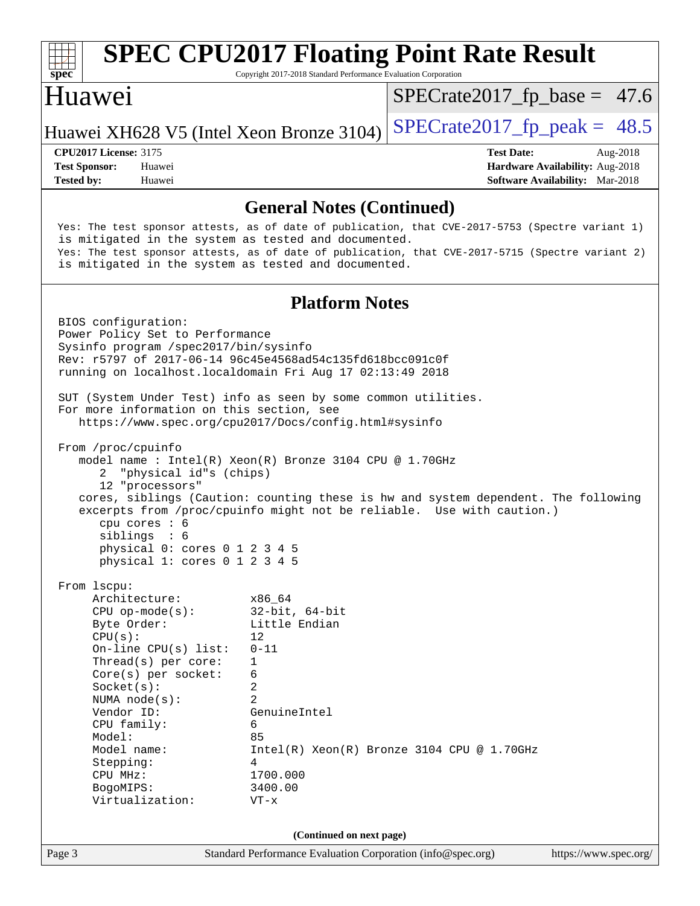| $spec^*$                                                                                                                                                                                                                                                                                                                                                                                          | <b>SPEC CPU2017 Floating Point Rate Result</b><br>Copyright 2017-2018 Standard Performance Evaluation Corporation                                                     |                                              |                                                                                       |
|---------------------------------------------------------------------------------------------------------------------------------------------------------------------------------------------------------------------------------------------------------------------------------------------------------------------------------------------------------------------------------------------------|-----------------------------------------------------------------------------------------------------------------------------------------------------------------------|----------------------------------------------|---------------------------------------------------------------------------------------|
| Huawei                                                                                                                                                                                                                                                                                                                                                                                            |                                                                                                                                                                       | $SPECrate2017_fp\_base = 47.6$               |                                                                                       |
| Huawei XH628 V5 (Intel Xeon Bronze 3104)                                                                                                                                                                                                                                                                                                                                                          |                                                                                                                                                                       | $SPECTate2017$ _fp_peak = 48.5               |                                                                                       |
| <b>CPU2017 License: 3175</b><br><b>Test Sponsor:</b><br>Huawei<br><b>Tested by:</b><br>Huawei                                                                                                                                                                                                                                                                                                     |                                                                                                                                                                       | <b>Test Date:</b>                            | Aug-2018<br>Hardware Availability: Aug-2018<br><b>Software Availability:</b> Mar-2018 |
|                                                                                                                                                                                                                                                                                                                                                                                                   | <b>General Notes (Continued)</b>                                                                                                                                      |                                              |                                                                                       |
| Yes: The test sponsor attests, as of date of publication, that CVE-2017-5753 (Spectre variant 1)<br>is mitigated in the system as tested and documented.<br>Yes: The test sponsor attests, as of date of publication, that CVE-2017-5715 (Spectre variant 2)<br>is mitigated in the system as tested and documented.                                                                              |                                                                                                                                                                       |                                              |                                                                                       |
|                                                                                                                                                                                                                                                                                                                                                                                                   | <b>Platform Notes</b>                                                                                                                                                 |                                              |                                                                                       |
| BIOS configuration:<br>Power Policy Set to Performance<br>Sysinfo program /spec2017/bin/sysinfo<br>Rev: r5797 of 2017-06-14 96c45e4568ad54c135fd618bcc091c0f<br>running on localhost.localdomain Fri Aug 17 02:13:49 2018                                                                                                                                                                         |                                                                                                                                                                       |                                              |                                                                                       |
| SUT (System Under Test) info as seen by some common utilities.<br>For more information on this section, see<br>https://www.spec.org/cpu2017/Docs/config.html#sysinfo                                                                                                                                                                                                                              |                                                                                                                                                                       |                                              |                                                                                       |
| From /proc/cpuinfo<br>model name : Intel(R) Xeon(R) Bronze 3104 CPU @ 1.70GHz<br>"physical id"s (chips)<br>2<br>12 "processors"<br>cores, siblings (Caution: counting these is hw and system dependent. The following<br>excerpts from /proc/cpuinfo might not be reliable. Use with caution.)<br>cpu cores : 6<br>siblings : 6<br>physical 0: cores 0 1 2 3 4 5<br>physical 1: cores 0 1 2 3 4 5 |                                                                                                                                                                       |                                              |                                                                                       |
| From 1scpu:<br>Architecture:<br>$CPU$ op-mode( $s$ ):<br>Byte Order:<br>CPU(s):<br>On-line $CPU(s)$ list:<br>Thread(s) per core:<br>Core(s) per socket:<br>Socket(s):<br>NUMA $node(s)$ :<br>Vendor ID:<br>CPU family:<br>Model:<br>Model name:<br>Stepping:<br>CPU MHz:<br>BogoMIPS:<br>Virtualization:                                                                                          | x86 64<br>$32$ -bit, $64$ -bit<br>Little Endian<br>12<br>$0 - 11$<br>1<br>6<br>2<br>$\overline{2}$<br>GenuineIntel<br>6<br>85<br>4<br>1700.000<br>3400.00<br>$VT - x$ | $Intel(R) Xeon(R) Bronze 3104 CPU @ 1.70GHz$ |                                                                                       |
|                                                                                                                                                                                                                                                                                                                                                                                                   | (Continued on next page)                                                                                                                                              |                                              |                                                                                       |
| Page 3                                                                                                                                                                                                                                                                                                                                                                                            | Standard Performance Evaluation Corporation (info@spec.org)                                                                                                           |                                              | https://www.spec.org/                                                                 |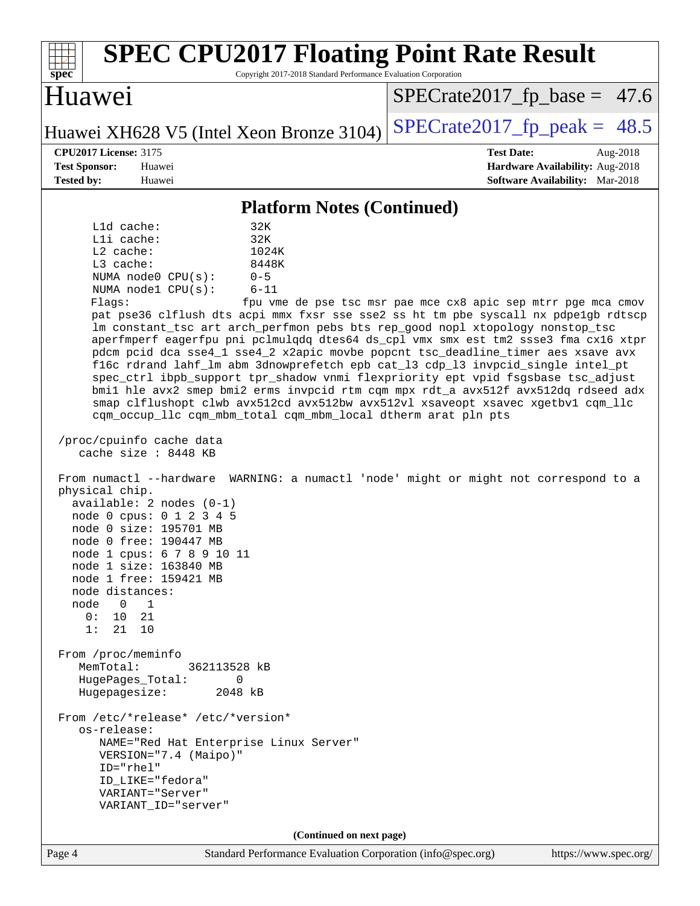| Huawei<br>$SPECrate2017_fp\_peak = 48.5$<br>Huawei XH628 V5 (Intel Xeon Bronze 3104)<br><b>CPU2017 License: 3175</b><br><b>Test Date:</b><br>Aug-2018<br><b>Test Sponsor:</b><br>Hardware Availability: Aug-2018<br>Huawei<br><b>Tested by:</b><br><b>Software Availability:</b> Mar-2018<br>Huawei<br><b>Platform Notes (Continued)</b><br>L1d cache:<br>32K<br>Lli cache:<br>32K<br>L2 cache:<br>1024K<br>L3 cache:<br>8448K<br>NUMA node0 CPU(s):<br>$0 - 5$<br>NUMA node1 CPU(s):<br>$6 - 11$<br>Flags:<br>fpu vme de pse tsc msr pae mce cx8 apic sep mtrr pge mca cmov<br>pat pse36 clflush dts acpi mmx fxsr sse sse2 ss ht tm pbe syscall nx pdpelgb rdtscp<br>lm constant_tsc art arch_perfmon pebs bts rep_good nopl xtopology nonstop_tsc<br>aperfmperf eagerfpu pni pclmulqdq dtes64 ds_cpl vmx smx est tm2 ssse3 fma cx16 xtpr<br>pdcm pcid dca sse4_1 sse4_2 x2apic movbe popcnt tsc_deadline_timer aes xsave avx<br>f16c rdrand lahf_lm abm 3dnowprefetch epb cat_13 cdp_13 invpcid_single intel_pt<br>spec_ctrl ibpb_support tpr_shadow vnmi flexpriority ept vpid fsgsbase tsc_adjust<br>bmil hle avx2 smep bmi2 erms invpcid rtm cqm mpx rdt_a avx512f avx512dq rdseed adx<br>smap clflushopt clwb avx512cd avx512bw avx512vl xsaveopt xsavec xgetbvl cqm_llc<br>cqm_occup_llc cqm_mbm_total cqm_mbm_local dtherm arat pln pts<br>/proc/cpuinfo cache data<br>cache size : 8448 KB<br>From numactl --hardware WARNING: a numactl 'node' might or might not correspond to a<br>physical chip.<br>$available: 2 nodes (0-1)$<br>node 0 cpus: 0 1 2 3 4 5<br>node 0 size: 195701 MB<br>node 0 free: 190447 MB<br>node 1 cpus: 6 7 8 9 10 11<br>node 1 size: 163840 MB<br>node 1 free: 159421 MB<br>node distances:<br>node<br>$\overline{0}$<br>1<br>0:<br>10<br>21<br>1:<br>21<br>10<br>From /proc/meminfo<br>MemTotal:<br>362113528 kB<br>HugePages_Total:<br>0<br>Hugepagesize:<br>2048 kB<br>From /etc/*release* /etc/*version*<br>os-release:<br>NAME="Red Hat Enterprise Linux Server"<br>VERSION="7.4 (Maipo)"<br>ID="rhel"<br>ID_LIKE="fedora"<br>VARIANT="Server"<br>VARIANT_ID="server"<br>(Continued on next page)<br>Standard Performance Evaluation Corporation (info@spec.org)<br>https://www.spec.org/<br>Page 4 | <b>SPEC CPU2017 Floating Point Rate Result</b><br>spec<br>Copyright 2017-2018 Standard Performance Evaluation Corporation |                                |
|------------------------------------------------------------------------------------------------------------------------------------------------------------------------------------------------------------------------------------------------------------------------------------------------------------------------------------------------------------------------------------------------------------------------------------------------------------------------------------------------------------------------------------------------------------------------------------------------------------------------------------------------------------------------------------------------------------------------------------------------------------------------------------------------------------------------------------------------------------------------------------------------------------------------------------------------------------------------------------------------------------------------------------------------------------------------------------------------------------------------------------------------------------------------------------------------------------------------------------------------------------------------------------------------------------------------------------------------------------------------------------------------------------------------------------------------------------------------------------------------------------------------------------------------------------------------------------------------------------------------------------------------------------------------------------------------------------------------------------------------------------------------------------------------------------------------------------------------------------------------------------------------------------------------------------------------------------------------------------------------------------------------------------------------------------------------------------------------------------------------------------------------------------------------------------------------------------------------------------------------|---------------------------------------------------------------------------------------------------------------------------|--------------------------------|
|                                                                                                                                                                                                                                                                                                                                                                                                                                                                                                                                                                                                                                                                                                                                                                                                                                                                                                                                                                                                                                                                                                                                                                                                                                                                                                                                                                                                                                                                                                                                                                                                                                                                                                                                                                                                                                                                                                                                                                                                                                                                                                                                                                                                                                                |                                                                                                                           | $SPECrate2017_fp\_base = 47.6$ |
|                                                                                                                                                                                                                                                                                                                                                                                                                                                                                                                                                                                                                                                                                                                                                                                                                                                                                                                                                                                                                                                                                                                                                                                                                                                                                                                                                                                                                                                                                                                                                                                                                                                                                                                                                                                                                                                                                                                                                                                                                                                                                                                                                                                                                                                |                                                                                                                           |                                |
|                                                                                                                                                                                                                                                                                                                                                                                                                                                                                                                                                                                                                                                                                                                                                                                                                                                                                                                                                                                                                                                                                                                                                                                                                                                                                                                                                                                                                                                                                                                                                                                                                                                                                                                                                                                                                                                                                                                                                                                                                                                                                                                                                                                                                                                |                                                                                                                           |                                |
|                                                                                                                                                                                                                                                                                                                                                                                                                                                                                                                                                                                                                                                                                                                                                                                                                                                                                                                                                                                                                                                                                                                                                                                                                                                                                                                                                                                                                                                                                                                                                                                                                                                                                                                                                                                                                                                                                                                                                                                                                                                                                                                                                                                                                                                |                                                                                                                           |                                |
|                                                                                                                                                                                                                                                                                                                                                                                                                                                                                                                                                                                                                                                                                                                                                                                                                                                                                                                                                                                                                                                                                                                                                                                                                                                                                                                                                                                                                                                                                                                                                                                                                                                                                                                                                                                                                                                                                                                                                                                                                                                                                                                                                                                                                                                |                                                                                                                           |                                |
|                                                                                                                                                                                                                                                                                                                                                                                                                                                                                                                                                                                                                                                                                                                                                                                                                                                                                                                                                                                                                                                                                                                                                                                                                                                                                                                                                                                                                                                                                                                                                                                                                                                                                                                                                                                                                                                                                                                                                                                                                                                                                                                                                                                                                                                |                                                                                                                           |                                |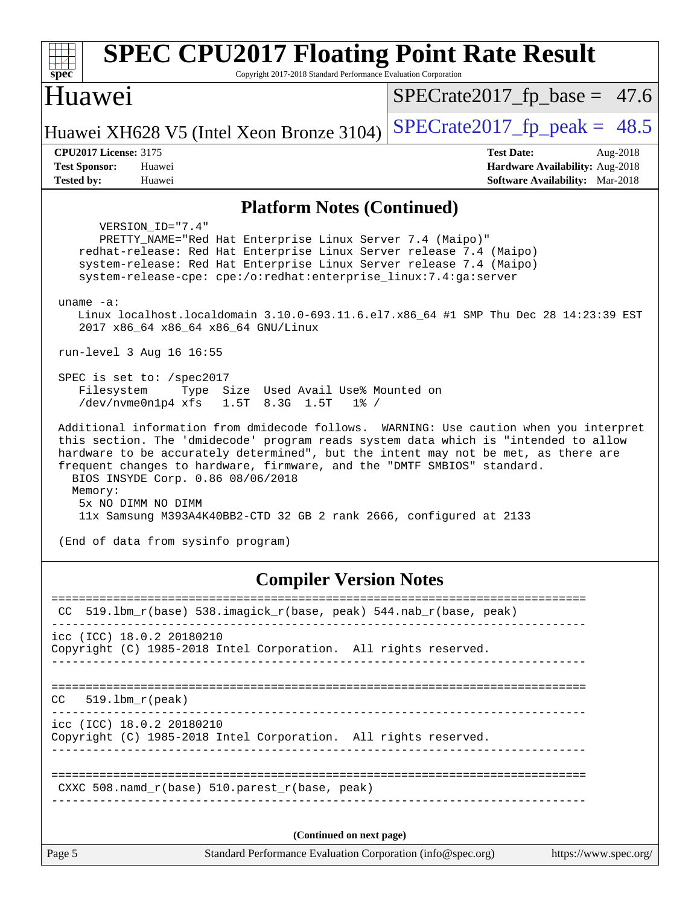| <b>SPEC CPU2017 Floating Point Rate Result</b><br>spec<br>Copyright 2017-2018 Standard Performance Evaluation Corporation                                                                                                                                                                                                                                                                                                                                                                                                        |                                                                                                            |  |  |  |
|----------------------------------------------------------------------------------------------------------------------------------------------------------------------------------------------------------------------------------------------------------------------------------------------------------------------------------------------------------------------------------------------------------------------------------------------------------------------------------------------------------------------------------|------------------------------------------------------------------------------------------------------------|--|--|--|
| Huawei                                                                                                                                                                                                                                                                                                                                                                                                                                                                                                                           | $SPECrate2017_fp\_base = 47.6$                                                                             |  |  |  |
| Huawei XH628 V5 (Intel Xeon Bronze 3104)                                                                                                                                                                                                                                                                                                                                                                                                                                                                                         | $SPECrate2017_fp\_peak = 48.5$                                                                             |  |  |  |
| <b>CPU2017 License: 3175</b><br><b>Test Sponsor:</b><br>Huawei<br><b>Tested by:</b><br>Huawei                                                                                                                                                                                                                                                                                                                                                                                                                                    | <b>Test Date:</b><br>Aug-2018<br>Hardware Availability: Aug-2018<br><b>Software Availability:</b> Mar-2018 |  |  |  |
| <b>Platform Notes (Continued)</b>                                                                                                                                                                                                                                                                                                                                                                                                                                                                                                |                                                                                                            |  |  |  |
| VERSION ID="7.4"<br>PRETTY_NAME="Red Hat Enterprise Linux Server 7.4 (Maipo)"<br>redhat-release: Red Hat Enterprise Linux Server release 7.4 (Maipo)<br>system-release: Red Hat Enterprise Linux Server release 7.4 (Maipo)<br>system-release-cpe: cpe:/o:redhat:enterprise_linux:7.4:ga:server<br>uname $-a$ :<br>Linux localhost.localdomain 3.10.0-693.11.6.el7.x86_64 #1 SMP Thu Dec 28 14:23:39 EST                                                                                                                         |                                                                                                            |  |  |  |
| 2017 x86 64 x86 64 x86 64 GNU/Linux                                                                                                                                                                                                                                                                                                                                                                                                                                                                                              |                                                                                                            |  |  |  |
| run-level 3 Aug 16 16:55<br>SPEC is set to: /spec2017<br>Type Size Used Avail Use% Mounted on<br>Filesystem<br>/dev/nvme0n1p4 xfs<br>1.5T 8.3G 1.5T<br>$1\%$ /                                                                                                                                                                                                                                                                                                                                                                   |                                                                                                            |  |  |  |
| Additional information from dmidecode follows. WARNING: Use caution when you interpret<br>this section. The 'dmidecode' program reads system data which is "intended to allow<br>hardware to be accurately determined", but the intent may not be met, as there are<br>frequent changes to hardware, firmware, and the "DMTF SMBIOS" standard.<br>BIOS INSYDE Corp. 0.86 08/06/2018<br>Memory:<br>5x NO DIMM NO DIMM<br>11x Samsung M393A4K40BB2-CTD 32 GB 2 rank 2666, configured at 2133<br>(End of data from sysinfo program) |                                                                                                            |  |  |  |
|                                                                                                                                                                                                                                                                                                                                                                                                                                                                                                                                  |                                                                                                            |  |  |  |
| <b>Compiler Version Notes</b><br>$519.1$ bm_r(base) $538.imagick_r(base, peak)$ $544.nab_r(base, peak)$<br>CC.<br>icc (ICC) 18.0.2 20180210<br>Copyright (C) 1985-2018 Intel Corporation. All rights reserved.                                                                                                                                                                                                                                                                                                                   |                                                                                                            |  |  |  |
| $519.1$ bm $r$ (peak)<br>CC.<br>_____________________________________                                                                                                                                                                                                                                                                                                                                                                                                                                                            |                                                                                                            |  |  |  |
| icc (ICC) 18.0.2 20180210<br>Copyright (C) 1985-2018 Intel Corporation. All rights reserved.                                                                                                                                                                                                                                                                                                                                                                                                                                     |                                                                                                            |  |  |  |
| CXXC 508.namd_r(base) 510.parest_r(base, peak)                                                                                                                                                                                                                                                                                                                                                                                                                                                                                   |                                                                                                            |  |  |  |
| (Continued on next page)                                                                                                                                                                                                                                                                                                                                                                                                                                                                                                         |                                                                                                            |  |  |  |
| Page 5<br>Standard Performance Evaluation Corporation (info@spec.org)                                                                                                                                                                                                                                                                                                                                                                                                                                                            | https://www.spec.org/                                                                                      |  |  |  |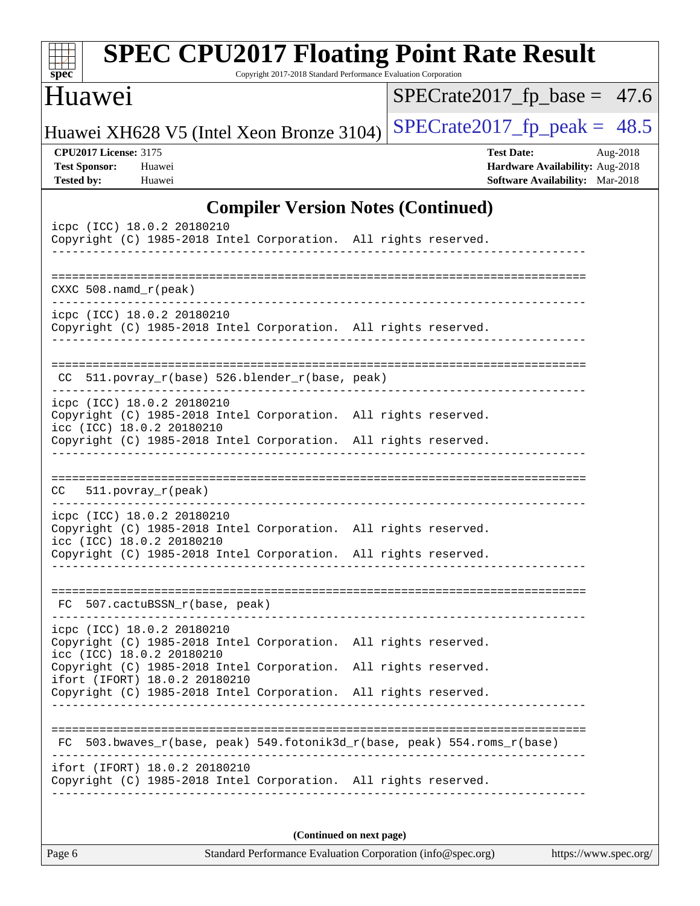| <b>SPEC CPU2017 Floating Point Rate Result</b><br>Copyright 2017-2018 Standard Performance Evaluation Corporation<br>$spec^*$                                                                 |                                                                                                     |  |  |  |
|-----------------------------------------------------------------------------------------------------------------------------------------------------------------------------------------------|-----------------------------------------------------------------------------------------------------|--|--|--|
| Huawei                                                                                                                                                                                        | $SPECrate2017_fp\_base = 47.6$                                                                      |  |  |  |
| Huawei XH628 V5 (Intel Xeon Bronze 3104)                                                                                                                                                      | $SPECrate2017_fp\_peak = 48.5$                                                                      |  |  |  |
| <b>CPU2017 License: 3175</b><br><b>Test Sponsor:</b><br>Huawei<br><b>Tested by:</b><br>Huawei                                                                                                 | <b>Test Date:</b><br>Aug-2018<br>Hardware Availability: Aug-2018<br>Software Availability: Mar-2018 |  |  |  |
| <b>Compiler Version Notes (Continued)</b>                                                                                                                                                     |                                                                                                     |  |  |  |
| icpc (ICC) 18.0.2 20180210<br>Copyright (C) 1985-2018 Intel Corporation. All rights reserved.                                                                                                 |                                                                                                     |  |  |  |
| CXXC $508.namd_r(peak)$                                                                                                                                                                       |                                                                                                     |  |  |  |
| icpc (ICC) 18.0.2 20180210<br>Copyright (C) 1985-2018 Intel Corporation. All rights reserved.                                                                                                 |                                                                                                     |  |  |  |
| 511.povray_r(base) 526.blender_r(base, peak)<br>CC                                                                                                                                            |                                                                                                     |  |  |  |
| icpc (ICC) 18.0.2 20180210<br>Copyright (C) 1985-2018 Intel Corporation. All rights reserved.<br>icc (ICC) 18.0.2 20180210<br>Copyright (C) 1985-2018 Intel Corporation. All rights reserved. |                                                                                                     |  |  |  |
| $511. povray_r (peak)$<br>CC                                                                                                                                                                  |                                                                                                     |  |  |  |
| icpc (ICC) 18.0.2 20180210<br>Copyright (C) 1985-2018 Intel Corporation. All rights reserved.<br>icc (ICC) 18.0.2 20180210<br>Copyright (C) 1985-2018 Intel Corporation. All rights reserved. |                                                                                                     |  |  |  |
|                                                                                                                                                                                               |                                                                                                     |  |  |  |
| 507.cactuBSSN_r(base, peak)<br>FC.                                                                                                                                                            |                                                                                                     |  |  |  |
| icpc (ICC) 18.0.2 20180210<br>Copyright (C) 1985-2018 Intel Corporation. All rights reserved.<br>icc (ICC) 18.0.2 20180210                                                                    |                                                                                                     |  |  |  |
| Copyright (C) 1985-2018 Intel Corporation. All rights reserved.<br>ifort (IFORT) 18.0.2 20180210<br>Copyright (C) 1985-2018 Intel Corporation. All rights reserved.                           |                                                                                                     |  |  |  |
|                                                                                                                                                                                               |                                                                                                     |  |  |  |
| 503.bwaves_r(base, peak) 549.fotonik3d_r(base, peak) 554.roms_r(base)<br>FC                                                                                                                   |                                                                                                     |  |  |  |
| ifort (IFORT) 18.0.2 20180210<br>Copyright (C) 1985-2018 Intel Corporation. All rights reserved.                                                                                              |                                                                                                     |  |  |  |
| (Continued on next page)                                                                                                                                                                      |                                                                                                     |  |  |  |
| Page 6<br>Standard Performance Evaluation Corporation (info@spec.org)                                                                                                                         | https://www.spec.org/                                                                               |  |  |  |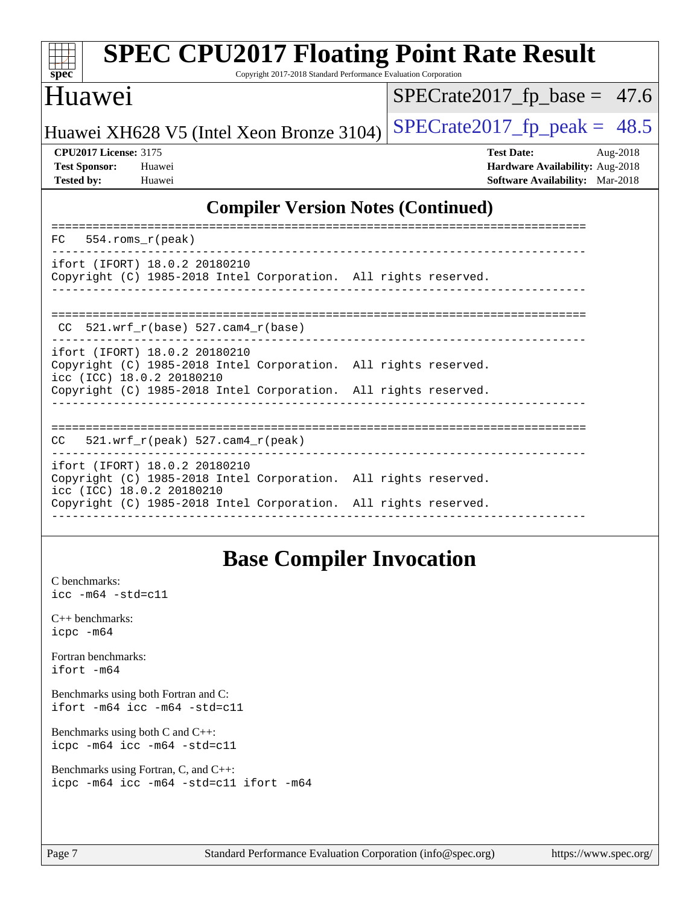| <b>SPEC CPU2017 Floating Point Rate Result</b><br>$spec^*$<br>Copyright 2017-2018 Standard Performance Evaluation Corporation                                                                    |                                                                                                            |  |  |  |
|--------------------------------------------------------------------------------------------------------------------------------------------------------------------------------------------------|------------------------------------------------------------------------------------------------------------|--|--|--|
| Huawei                                                                                                                                                                                           | $SPECrate2017_fp\_base = 47.6$                                                                             |  |  |  |
| Huawei XH628 V5 (Intel Xeon Bronze 3104)                                                                                                                                                         | $SPECrate2017_fp\_peak = 48.5$                                                                             |  |  |  |
| <b>CPU2017 License: 3175</b><br><b>Test Sponsor:</b><br>Huawei<br><b>Tested by:</b><br>Huawei                                                                                                    | <b>Test Date:</b><br>Aug-2018<br>Hardware Availability: Aug-2018<br><b>Software Availability:</b> Mar-2018 |  |  |  |
| <b>Compiler Version Notes (Continued)</b>                                                                                                                                                        |                                                                                                            |  |  |  |
| $554$ .roms $r$ (peak)<br>FC                                                                                                                                                                     |                                                                                                            |  |  |  |
| ifort (IFORT) 18.0.2 20180210<br>Copyright (C) 1985-2018 Intel Corporation. All rights reserved.                                                                                                 |                                                                                                            |  |  |  |
| $521.wrf_r(base) 527.cam4_r(base)$<br>CC                                                                                                                                                         |                                                                                                            |  |  |  |
| ifort (IFORT) 18.0.2 20180210<br>Copyright (C) 1985-2018 Intel Corporation. All rights reserved.<br>icc (ICC) 18.0.2 20180210<br>Copyright (C) 1985-2018 Intel Corporation. All rights reserved. |                                                                                                            |  |  |  |

## **[Base Compiler Invocation](http://www.spec.org/auto/cpu2017/Docs/result-fields.html#BaseCompilerInvocation)**

------------------------------------------------------------------------------

==============================================================================

------------------------------------------------------------------------------

Copyright (C) 1985-2018 Intel Corporation. All rights reserved.

Copyright (C) 1985-2018 Intel Corporation. All rights reserved.

[C benchmarks](http://www.spec.org/auto/cpu2017/Docs/result-fields.html#Cbenchmarks): [icc -m64 -std=c11](http://www.spec.org/cpu2017/results/res2018q4/cpu2017-20181008-09087.flags.html#user_CCbase_intel_icc_64bit_c11_33ee0cdaae7deeeab2a9725423ba97205ce30f63b9926c2519791662299b76a0318f32ddfffdc46587804de3178b4f9328c46fa7c2b0cd779d7a61945c91cd35)

[C++ benchmarks:](http://www.spec.org/auto/cpu2017/Docs/result-fields.html#CXXbenchmarks) [icpc -m64](http://www.spec.org/cpu2017/results/res2018q4/cpu2017-20181008-09087.flags.html#user_CXXbase_intel_icpc_64bit_4ecb2543ae3f1412ef961e0650ca070fec7b7afdcd6ed48761b84423119d1bf6bdf5cad15b44d48e7256388bc77273b966e5eb805aefd121eb22e9299b2ec9d9)

[Fortran benchmarks](http://www.spec.org/auto/cpu2017/Docs/result-fields.html#Fortranbenchmarks): [ifort -m64](http://www.spec.org/cpu2017/results/res2018q4/cpu2017-20181008-09087.flags.html#user_FCbase_intel_ifort_64bit_24f2bb282fbaeffd6157abe4f878425411749daecae9a33200eee2bee2fe76f3b89351d69a8130dd5949958ce389cf37ff59a95e7a40d588e8d3a57e0c3fd751)

[Benchmarks using both Fortran and C](http://www.spec.org/auto/cpu2017/Docs/result-fields.html#BenchmarksusingbothFortranandC): [ifort -m64](http://www.spec.org/cpu2017/results/res2018q4/cpu2017-20181008-09087.flags.html#user_CC_FCbase_intel_ifort_64bit_24f2bb282fbaeffd6157abe4f878425411749daecae9a33200eee2bee2fe76f3b89351d69a8130dd5949958ce389cf37ff59a95e7a40d588e8d3a57e0c3fd751) [icc -m64 -std=c11](http://www.spec.org/cpu2017/results/res2018q4/cpu2017-20181008-09087.flags.html#user_CC_FCbase_intel_icc_64bit_c11_33ee0cdaae7deeeab2a9725423ba97205ce30f63b9926c2519791662299b76a0318f32ddfffdc46587804de3178b4f9328c46fa7c2b0cd779d7a61945c91cd35)

[Benchmarks using both C and C++](http://www.spec.org/auto/cpu2017/Docs/result-fields.html#BenchmarksusingbothCandCXX): [icpc -m64](http://www.spec.org/cpu2017/results/res2018q4/cpu2017-20181008-09087.flags.html#user_CC_CXXbase_intel_icpc_64bit_4ecb2543ae3f1412ef961e0650ca070fec7b7afdcd6ed48761b84423119d1bf6bdf5cad15b44d48e7256388bc77273b966e5eb805aefd121eb22e9299b2ec9d9) [icc -m64 -std=c11](http://www.spec.org/cpu2017/results/res2018q4/cpu2017-20181008-09087.flags.html#user_CC_CXXbase_intel_icc_64bit_c11_33ee0cdaae7deeeab2a9725423ba97205ce30f63b9926c2519791662299b76a0318f32ddfffdc46587804de3178b4f9328c46fa7c2b0cd779d7a61945c91cd35)

[Benchmarks using Fortran, C, and C++:](http://www.spec.org/auto/cpu2017/Docs/result-fields.html#BenchmarksusingFortranCandCXX) [icpc -m64](http://www.spec.org/cpu2017/results/res2018q4/cpu2017-20181008-09087.flags.html#user_CC_CXX_FCbase_intel_icpc_64bit_4ecb2543ae3f1412ef961e0650ca070fec7b7afdcd6ed48761b84423119d1bf6bdf5cad15b44d48e7256388bc77273b966e5eb805aefd121eb22e9299b2ec9d9) [icc -m64 -std=c11](http://www.spec.org/cpu2017/results/res2018q4/cpu2017-20181008-09087.flags.html#user_CC_CXX_FCbase_intel_icc_64bit_c11_33ee0cdaae7deeeab2a9725423ba97205ce30f63b9926c2519791662299b76a0318f32ddfffdc46587804de3178b4f9328c46fa7c2b0cd779d7a61945c91cd35) [ifort -m64](http://www.spec.org/cpu2017/results/res2018q4/cpu2017-20181008-09087.flags.html#user_CC_CXX_FCbase_intel_ifort_64bit_24f2bb282fbaeffd6157abe4f878425411749daecae9a33200eee2bee2fe76f3b89351d69a8130dd5949958ce389cf37ff59a95e7a40d588e8d3a57e0c3fd751)

CC 521.wrf\_r(peak) 527.cam4\_r(peak)

ifort (IFORT) 18.0.2 20180210

icc (ICC) 18.0.2 20180210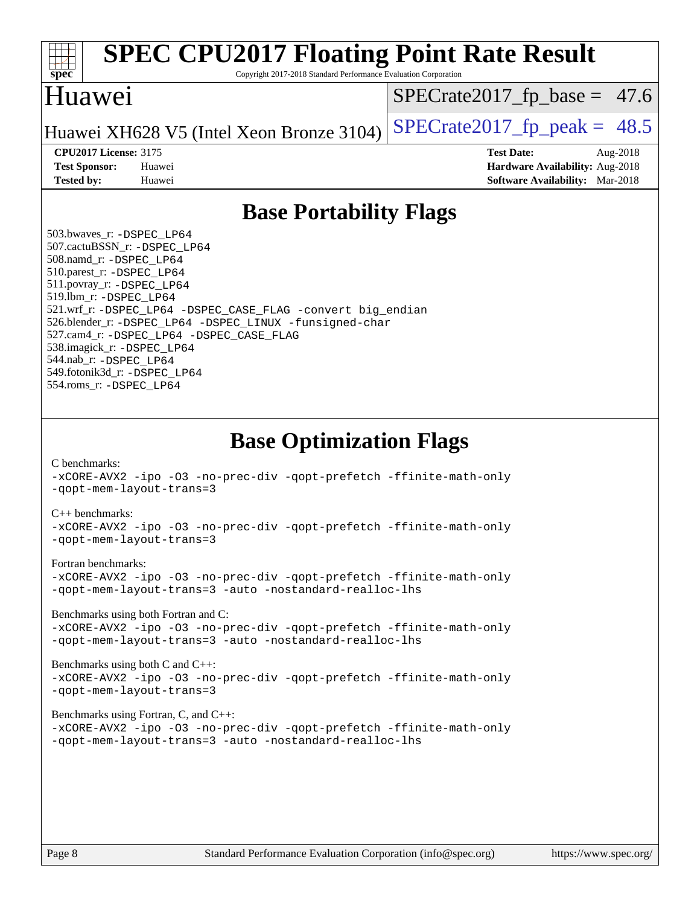

# **[SPEC CPU2017 Floating Point Rate Result](http://www.spec.org/auto/cpu2017/Docs/result-fields.html#SPECCPU2017FloatingPointRateResult)**

Copyright 2017-2018 Standard Performance Evaluation Corporation

### Huawei

 $SPECTate2017_fp\_base = 47.6$ 

Huawei XH628 V5 (Intel Xeon Bronze 3104) SPECrate  $2017$  fp peak = 48.5

**[CPU2017 License:](http://www.spec.org/auto/cpu2017/Docs/result-fields.html#CPU2017License)** 3175 **[Test Date:](http://www.spec.org/auto/cpu2017/Docs/result-fields.html#TestDate)** Aug-2018 **[Test Sponsor:](http://www.spec.org/auto/cpu2017/Docs/result-fields.html#TestSponsor)** Huawei **[Hardware Availability:](http://www.spec.org/auto/cpu2017/Docs/result-fields.html#HardwareAvailability)** Aug-2018 **[Tested by:](http://www.spec.org/auto/cpu2017/Docs/result-fields.html#Testedby)** Huawei **[Software Availability:](http://www.spec.org/auto/cpu2017/Docs/result-fields.html#SoftwareAvailability)** Mar-2018

## **[Base Portability Flags](http://www.spec.org/auto/cpu2017/Docs/result-fields.html#BasePortabilityFlags)**

 503.bwaves\_r: [-DSPEC\\_LP64](http://www.spec.org/cpu2017/results/res2018q4/cpu2017-20181008-09087.flags.html#suite_basePORTABILITY503_bwaves_r_DSPEC_LP64) 507.cactuBSSN\_r: [-DSPEC\\_LP64](http://www.spec.org/cpu2017/results/res2018q4/cpu2017-20181008-09087.flags.html#suite_basePORTABILITY507_cactuBSSN_r_DSPEC_LP64) 508.namd\_r: [-DSPEC\\_LP64](http://www.spec.org/cpu2017/results/res2018q4/cpu2017-20181008-09087.flags.html#suite_basePORTABILITY508_namd_r_DSPEC_LP64) 510.parest\_r: [-DSPEC\\_LP64](http://www.spec.org/cpu2017/results/res2018q4/cpu2017-20181008-09087.flags.html#suite_basePORTABILITY510_parest_r_DSPEC_LP64) 511.povray\_r: [-DSPEC\\_LP64](http://www.spec.org/cpu2017/results/res2018q4/cpu2017-20181008-09087.flags.html#suite_basePORTABILITY511_povray_r_DSPEC_LP64) 519.lbm\_r: [-DSPEC\\_LP64](http://www.spec.org/cpu2017/results/res2018q4/cpu2017-20181008-09087.flags.html#suite_basePORTABILITY519_lbm_r_DSPEC_LP64) 521.wrf\_r: [-DSPEC\\_LP64](http://www.spec.org/cpu2017/results/res2018q4/cpu2017-20181008-09087.flags.html#suite_basePORTABILITY521_wrf_r_DSPEC_LP64) [-DSPEC\\_CASE\\_FLAG](http://www.spec.org/cpu2017/results/res2018q4/cpu2017-20181008-09087.flags.html#b521.wrf_r_baseCPORTABILITY_DSPEC_CASE_FLAG) [-convert big\\_endian](http://www.spec.org/cpu2017/results/res2018q4/cpu2017-20181008-09087.flags.html#user_baseFPORTABILITY521_wrf_r_convert_big_endian_c3194028bc08c63ac5d04de18c48ce6d347e4e562e8892b8bdbdc0214820426deb8554edfa529a3fb25a586e65a3d812c835984020483e7e73212c4d31a38223) 526.blender\_r: [-DSPEC\\_LP64](http://www.spec.org/cpu2017/results/res2018q4/cpu2017-20181008-09087.flags.html#suite_basePORTABILITY526_blender_r_DSPEC_LP64) [-DSPEC\\_LINUX](http://www.spec.org/cpu2017/results/res2018q4/cpu2017-20181008-09087.flags.html#b526.blender_r_baseCPORTABILITY_DSPEC_LINUX) [-funsigned-char](http://www.spec.org/cpu2017/results/res2018q4/cpu2017-20181008-09087.flags.html#user_baseCPORTABILITY526_blender_r_force_uchar_40c60f00ab013830e2dd6774aeded3ff59883ba5a1fc5fc14077f794d777847726e2a5858cbc7672e36e1b067e7e5c1d9a74f7176df07886a243d7cc18edfe67) 527.cam4\_r: [-DSPEC\\_LP64](http://www.spec.org/cpu2017/results/res2018q4/cpu2017-20181008-09087.flags.html#suite_basePORTABILITY527_cam4_r_DSPEC_LP64) [-DSPEC\\_CASE\\_FLAG](http://www.spec.org/cpu2017/results/res2018q4/cpu2017-20181008-09087.flags.html#b527.cam4_r_baseCPORTABILITY_DSPEC_CASE_FLAG) 538.imagick\_r: [-DSPEC\\_LP64](http://www.spec.org/cpu2017/results/res2018q4/cpu2017-20181008-09087.flags.html#suite_basePORTABILITY538_imagick_r_DSPEC_LP64) 544.nab\_r: [-DSPEC\\_LP64](http://www.spec.org/cpu2017/results/res2018q4/cpu2017-20181008-09087.flags.html#suite_basePORTABILITY544_nab_r_DSPEC_LP64) 549.fotonik3d\_r: [-DSPEC\\_LP64](http://www.spec.org/cpu2017/results/res2018q4/cpu2017-20181008-09087.flags.html#suite_basePORTABILITY549_fotonik3d_r_DSPEC_LP64) 554.roms\_r: [-DSPEC\\_LP64](http://www.spec.org/cpu2017/results/res2018q4/cpu2017-20181008-09087.flags.html#suite_basePORTABILITY554_roms_r_DSPEC_LP64)

**[Base Optimization Flags](http://www.spec.org/auto/cpu2017/Docs/result-fields.html#BaseOptimizationFlags)**

[C benchmarks](http://www.spec.org/auto/cpu2017/Docs/result-fields.html#Cbenchmarks):

[-xCORE-AVX2](http://www.spec.org/cpu2017/results/res2018q4/cpu2017-20181008-09087.flags.html#user_CCbase_f-xCORE-AVX2) [-ipo](http://www.spec.org/cpu2017/results/res2018q4/cpu2017-20181008-09087.flags.html#user_CCbase_f-ipo) [-O3](http://www.spec.org/cpu2017/results/res2018q4/cpu2017-20181008-09087.flags.html#user_CCbase_f-O3) [-no-prec-div](http://www.spec.org/cpu2017/results/res2018q4/cpu2017-20181008-09087.flags.html#user_CCbase_f-no-prec-div) [-qopt-prefetch](http://www.spec.org/cpu2017/results/res2018q4/cpu2017-20181008-09087.flags.html#user_CCbase_f-qopt-prefetch) [-ffinite-math-only](http://www.spec.org/cpu2017/results/res2018q4/cpu2017-20181008-09087.flags.html#user_CCbase_f_finite_math_only_cb91587bd2077682c4b38af759c288ed7c732db004271a9512da14a4f8007909a5f1427ecbf1a0fb78ff2a814402c6114ac565ca162485bbcae155b5e4258871) [-qopt-mem-layout-trans=3](http://www.spec.org/cpu2017/results/res2018q4/cpu2017-20181008-09087.flags.html#user_CCbase_f-qopt-mem-layout-trans_de80db37974c74b1f0e20d883f0b675c88c3b01e9d123adea9b28688d64333345fb62bc4a798493513fdb68f60282f9a726aa07f478b2f7113531aecce732043)

#### [C++ benchmarks:](http://www.spec.org/auto/cpu2017/Docs/result-fields.html#CXXbenchmarks)

[-xCORE-AVX2](http://www.spec.org/cpu2017/results/res2018q4/cpu2017-20181008-09087.flags.html#user_CXXbase_f-xCORE-AVX2) [-ipo](http://www.spec.org/cpu2017/results/res2018q4/cpu2017-20181008-09087.flags.html#user_CXXbase_f-ipo) [-O3](http://www.spec.org/cpu2017/results/res2018q4/cpu2017-20181008-09087.flags.html#user_CXXbase_f-O3) [-no-prec-div](http://www.spec.org/cpu2017/results/res2018q4/cpu2017-20181008-09087.flags.html#user_CXXbase_f-no-prec-div) [-qopt-prefetch](http://www.spec.org/cpu2017/results/res2018q4/cpu2017-20181008-09087.flags.html#user_CXXbase_f-qopt-prefetch) [-ffinite-math-only](http://www.spec.org/cpu2017/results/res2018q4/cpu2017-20181008-09087.flags.html#user_CXXbase_f_finite_math_only_cb91587bd2077682c4b38af759c288ed7c732db004271a9512da14a4f8007909a5f1427ecbf1a0fb78ff2a814402c6114ac565ca162485bbcae155b5e4258871) [-qopt-mem-layout-trans=3](http://www.spec.org/cpu2017/results/res2018q4/cpu2017-20181008-09087.flags.html#user_CXXbase_f-qopt-mem-layout-trans_de80db37974c74b1f0e20d883f0b675c88c3b01e9d123adea9b28688d64333345fb62bc4a798493513fdb68f60282f9a726aa07f478b2f7113531aecce732043)

#### [Fortran benchmarks](http://www.spec.org/auto/cpu2017/Docs/result-fields.html#Fortranbenchmarks):

[-xCORE-AVX2](http://www.spec.org/cpu2017/results/res2018q4/cpu2017-20181008-09087.flags.html#user_FCbase_f-xCORE-AVX2) [-ipo](http://www.spec.org/cpu2017/results/res2018q4/cpu2017-20181008-09087.flags.html#user_FCbase_f-ipo) [-O3](http://www.spec.org/cpu2017/results/res2018q4/cpu2017-20181008-09087.flags.html#user_FCbase_f-O3) [-no-prec-div](http://www.spec.org/cpu2017/results/res2018q4/cpu2017-20181008-09087.flags.html#user_FCbase_f-no-prec-div) [-qopt-prefetch](http://www.spec.org/cpu2017/results/res2018q4/cpu2017-20181008-09087.flags.html#user_FCbase_f-qopt-prefetch) [-ffinite-math-only](http://www.spec.org/cpu2017/results/res2018q4/cpu2017-20181008-09087.flags.html#user_FCbase_f_finite_math_only_cb91587bd2077682c4b38af759c288ed7c732db004271a9512da14a4f8007909a5f1427ecbf1a0fb78ff2a814402c6114ac565ca162485bbcae155b5e4258871) [-qopt-mem-layout-trans=3](http://www.spec.org/cpu2017/results/res2018q4/cpu2017-20181008-09087.flags.html#user_FCbase_f-qopt-mem-layout-trans_de80db37974c74b1f0e20d883f0b675c88c3b01e9d123adea9b28688d64333345fb62bc4a798493513fdb68f60282f9a726aa07f478b2f7113531aecce732043) [-auto](http://www.spec.org/cpu2017/results/res2018q4/cpu2017-20181008-09087.flags.html#user_FCbase_f-auto) [-nostandard-realloc-lhs](http://www.spec.org/cpu2017/results/res2018q4/cpu2017-20181008-09087.flags.html#user_FCbase_f_2003_std_realloc_82b4557e90729c0f113870c07e44d33d6f5a304b4f63d4c15d2d0f1fab99f5daaed73bdb9275d9ae411527f28b936061aa8b9c8f2d63842963b95c9dd6426b8a)

[Benchmarks using both Fortran and C](http://www.spec.org/auto/cpu2017/Docs/result-fields.html#BenchmarksusingbothFortranandC):

[-xCORE-AVX2](http://www.spec.org/cpu2017/results/res2018q4/cpu2017-20181008-09087.flags.html#user_CC_FCbase_f-xCORE-AVX2) [-ipo](http://www.spec.org/cpu2017/results/res2018q4/cpu2017-20181008-09087.flags.html#user_CC_FCbase_f-ipo) [-O3](http://www.spec.org/cpu2017/results/res2018q4/cpu2017-20181008-09087.flags.html#user_CC_FCbase_f-O3) [-no-prec-div](http://www.spec.org/cpu2017/results/res2018q4/cpu2017-20181008-09087.flags.html#user_CC_FCbase_f-no-prec-div) [-qopt-prefetch](http://www.spec.org/cpu2017/results/res2018q4/cpu2017-20181008-09087.flags.html#user_CC_FCbase_f-qopt-prefetch) [-ffinite-math-only](http://www.spec.org/cpu2017/results/res2018q4/cpu2017-20181008-09087.flags.html#user_CC_FCbase_f_finite_math_only_cb91587bd2077682c4b38af759c288ed7c732db004271a9512da14a4f8007909a5f1427ecbf1a0fb78ff2a814402c6114ac565ca162485bbcae155b5e4258871) [-qopt-mem-layout-trans=3](http://www.spec.org/cpu2017/results/res2018q4/cpu2017-20181008-09087.flags.html#user_CC_FCbase_f-qopt-mem-layout-trans_de80db37974c74b1f0e20d883f0b675c88c3b01e9d123adea9b28688d64333345fb62bc4a798493513fdb68f60282f9a726aa07f478b2f7113531aecce732043) [-auto](http://www.spec.org/cpu2017/results/res2018q4/cpu2017-20181008-09087.flags.html#user_CC_FCbase_f-auto) [-nostandard-realloc-lhs](http://www.spec.org/cpu2017/results/res2018q4/cpu2017-20181008-09087.flags.html#user_CC_FCbase_f_2003_std_realloc_82b4557e90729c0f113870c07e44d33d6f5a304b4f63d4c15d2d0f1fab99f5daaed73bdb9275d9ae411527f28b936061aa8b9c8f2d63842963b95c9dd6426b8a)

[Benchmarks using both C and C++](http://www.spec.org/auto/cpu2017/Docs/result-fields.html#BenchmarksusingbothCandCXX): [-xCORE-AVX2](http://www.spec.org/cpu2017/results/res2018q4/cpu2017-20181008-09087.flags.html#user_CC_CXXbase_f-xCORE-AVX2) [-ipo](http://www.spec.org/cpu2017/results/res2018q4/cpu2017-20181008-09087.flags.html#user_CC_CXXbase_f-ipo) [-O3](http://www.spec.org/cpu2017/results/res2018q4/cpu2017-20181008-09087.flags.html#user_CC_CXXbase_f-O3) [-no-prec-div](http://www.spec.org/cpu2017/results/res2018q4/cpu2017-20181008-09087.flags.html#user_CC_CXXbase_f-no-prec-div) [-qopt-prefetch](http://www.spec.org/cpu2017/results/res2018q4/cpu2017-20181008-09087.flags.html#user_CC_CXXbase_f-qopt-prefetch) [-ffinite-math-only](http://www.spec.org/cpu2017/results/res2018q4/cpu2017-20181008-09087.flags.html#user_CC_CXXbase_f_finite_math_only_cb91587bd2077682c4b38af759c288ed7c732db004271a9512da14a4f8007909a5f1427ecbf1a0fb78ff2a814402c6114ac565ca162485bbcae155b5e4258871) [-qopt-mem-layout-trans=3](http://www.spec.org/cpu2017/results/res2018q4/cpu2017-20181008-09087.flags.html#user_CC_CXXbase_f-qopt-mem-layout-trans_de80db37974c74b1f0e20d883f0b675c88c3b01e9d123adea9b28688d64333345fb62bc4a798493513fdb68f60282f9a726aa07f478b2f7113531aecce732043)

#### [Benchmarks using Fortran, C, and C++:](http://www.spec.org/auto/cpu2017/Docs/result-fields.html#BenchmarksusingFortranCandCXX)

[-xCORE-AVX2](http://www.spec.org/cpu2017/results/res2018q4/cpu2017-20181008-09087.flags.html#user_CC_CXX_FCbase_f-xCORE-AVX2) [-ipo](http://www.spec.org/cpu2017/results/res2018q4/cpu2017-20181008-09087.flags.html#user_CC_CXX_FCbase_f-ipo) [-O3](http://www.spec.org/cpu2017/results/res2018q4/cpu2017-20181008-09087.flags.html#user_CC_CXX_FCbase_f-O3) [-no-prec-div](http://www.spec.org/cpu2017/results/res2018q4/cpu2017-20181008-09087.flags.html#user_CC_CXX_FCbase_f-no-prec-div) [-qopt-prefetch](http://www.spec.org/cpu2017/results/res2018q4/cpu2017-20181008-09087.flags.html#user_CC_CXX_FCbase_f-qopt-prefetch) [-ffinite-math-only](http://www.spec.org/cpu2017/results/res2018q4/cpu2017-20181008-09087.flags.html#user_CC_CXX_FCbase_f_finite_math_only_cb91587bd2077682c4b38af759c288ed7c732db004271a9512da14a4f8007909a5f1427ecbf1a0fb78ff2a814402c6114ac565ca162485bbcae155b5e4258871) [-qopt-mem-layout-trans=3](http://www.spec.org/cpu2017/results/res2018q4/cpu2017-20181008-09087.flags.html#user_CC_CXX_FCbase_f-qopt-mem-layout-trans_de80db37974c74b1f0e20d883f0b675c88c3b01e9d123adea9b28688d64333345fb62bc4a798493513fdb68f60282f9a726aa07f478b2f7113531aecce732043) [-auto](http://www.spec.org/cpu2017/results/res2018q4/cpu2017-20181008-09087.flags.html#user_CC_CXX_FCbase_f-auto) [-nostandard-realloc-lhs](http://www.spec.org/cpu2017/results/res2018q4/cpu2017-20181008-09087.flags.html#user_CC_CXX_FCbase_f_2003_std_realloc_82b4557e90729c0f113870c07e44d33d6f5a304b4f63d4c15d2d0f1fab99f5daaed73bdb9275d9ae411527f28b936061aa8b9c8f2d63842963b95c9dd6426b8a)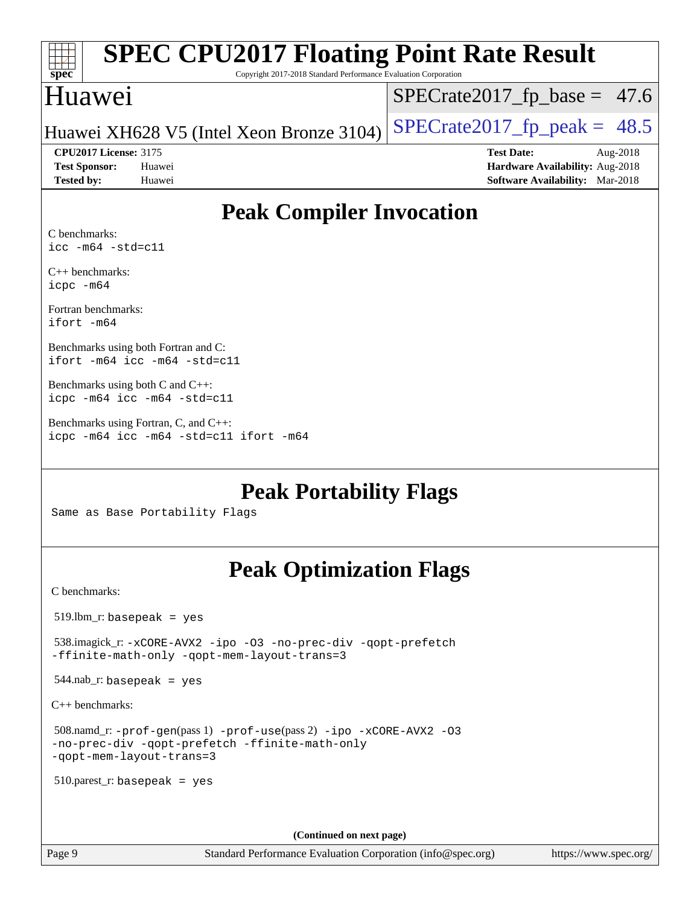| <b>SPEC CPU2017 Floating Point Rate Result</b><br>spec<br>Copyright 2017-2018 Standard Performance Evaluation Corporation |                                                                                                            |  |  |  |
|---------------------------------------------------------------------------------------------------------------------------|------------------------------------------------------------------------------------------------------------|--|--|--|
| <b>Huawei</b>                                                                                                             | $SPECrate2017_fp\_base = 47.6$                                                                             |  |  |  |
| Huawei XH628 V5 (Intel Xeon Bronze 3104)                                                                                  | $SPECTate2017_fp\_peak = 48.5$                                                                             |  |  |  |
| <b>CPU2017 License: 3175</b><br><b>Test Sponsor:</b><br>Huawei<br><b>Tested by:</b><br>Huawei                             | <b>Test Date:</b><br>Aug-2018<br>Hardware Availability: Aug-2018<br><b>Software Availability:</b> Mar-2018 |  |  |  |
| <b>Peak Compiler Invocation</b>                                                                                           |                                                                                                            |  |  |  |
| C benchmarks:<br>$\text{icc}$ -m64 -std=c11                                                                               |                                                                                                            |  |  |  |
| $C_{++}$ benchmarks:<br>icpc -m64                                                                                         |                                                                                                            |  |  |  |
| Fortran benchmarks:<br>ifort -m64                                                                                         |                                                                                                            |  |  |  |
| Benchmarks using both Fortran and C:<br>ifort -m64 icc -m64 -std=c11                                                      |                                                                                                            |  |  |  |
| Benchmarks using both $C$ and $C_{++}$ :<br>icpc -m64 icc -m64 -std=c11                                                   |                                                                                                            |  |  |  |

[Benchmarks using Fortran, C, and C++:](http://www.spec.org/auto/cpu2017/Docs/result-fields.html#BenchmarksusingFortranCandCXX) [icpc -m64](http://www.spec.org/cpu2017/results/res2018q4/cpu2017-20181008-09087.flags.html#user_CC_CXX_FCpeak_intel_icpc_64bit_4ecb2543ae3f1412ef961e0650ca070fec7b7afdcd6ed48761b84423119d1bf6bdf5cad15b44d48e7256388bc77273b966e5eb805aefd121eb22e9299b2ec9d9) [icc -m64 -std=c11](http://www.spec.org/cpu2017/results/res2018q4/cpu2017-20181008-09087.flags.html#user_CC_CXX_FCpeak_intel_icc_64bit_c11_33ee0cdaae7deeeab2a9725423ba97205ce30f63b9926c2519791662299b76a0318f32ddfffdc46587804de3178b4f9328c46fa7c2b0cd779d7a61945c91cd35) [ifort -m64](http://www.spec.org/cpu2017/results/res2018q4/cpu2017-20181008-09087.flags.html#user_CC_CXX_FCpeak_intel_ifort_64bit_24f2bb282fbaeffd6157abe4f878425411749daecae9a33200eee2bee2fe76f3b89351d69a8130dd5949958ce389cf37ff59a95e7a40d588e8d3a57e0c3fd751)

**[Peak Portability Flags](http://www.spec.org/auto/cpu2017/Docs/result-fields.html#PeakPortabilityFlags)**

Same as Base Portability Flags

## **[Peak Optimization Flags](http://www.spec.org/auto/cpu2017/Docs/result-fields.html#PeakOptimizationFlags)**

[C benchmarks](http://www.spec.org/auto/cpu2017/Docs/result-fields.html#Cbenchmarks):

519.lbm\_r: basepeak = yes

 538.imagick\_r: [-xCORE-AVX2](http://www.spec.org/cpu2017/results/res2018q4/cpu2017-20181008-09087.flags.html#user_peakCOPTIMIZE538_imagick_r_f-xCORE-AVX2) [-ipo](http://www.spec.org/cpu2017/results/res2018q4/cpu2017-20181008-09087.flags.html#user_peakCOPTIMIZE538_imagick_r_f-ipo) [-O3](http://www.spec.org/cpu2017/results/res2018q4/cpu2017-20181008-09087.flags.html#user_peakCOPTIMIZE538_imagick_r_f-O3) [-no-prec-div](http://www.spec.org/cpu2017/results/res2018q4/cpu2017-20181008-09087.flags.html#user_peakCOPTIMIZE538_imagick_r_f-no-prec-div) [-qopt-prefetch](http://www.spec.org/cpu2017/results/res2018q4/cpu2017-20181008-09087.flags.html#user_peakCOPTIMIZE538_imagick_r_f-qopt-prefetch) [-ffinite-math-only](http://www.spec.org/cpu2017/results/res2018q4/cpu2017-20181008-09087.flags.html#user_peakCOPTIMIZE538_imagick_r_f_finite_math_only_cb91587bd2077682c4b38af759c288ed7c732db004271a9512da14a4f8007909a5f1427ecbf1a0fb78ff2a814402c6114ac565ca162485bbcae155b5e4258871) [-qopt-mem-layout-trans=3](http://www.spec.org/cpu2017/results/res2018q4/cpu2017-20181008-09087.flags.html#user_peakCOPTIMIZE538_imagick_r_f-qopt-mem-layout-trans_de80db37974c74b1f0e20d883f0b675c88c3b01e9d123adea9b28688d64333345fb62bc4a798493513fdb68f60282f9a726aa07f478b2f7113531aecce732043)

544.nab\_r: basepeak = yes

[C++ benchmarks:](http://www.spec.org/auto/cpu2017/Docs/result-fields.html#CXXbenchmarks)

 508.namd\_r: [-prof-gen](http://www.spec.org/cpu2017/results/res2018q4/cpu2017-20181008-09087.flags.html#user_peakPASS1_CXXFLAGSPASS1_LDFLAGS508_namd_r_prof_gen_5aa4926d6013ddb2a31985c654b3eb18169fc0c6952a63635c234f711e6e63dd76e94ad52365559451ec499a2cdb89e4dc58ba4c67ef54ca681ffbe1461d6b36)(pass 1) [-prof-use](http://www.spec.org/cpu2017/results/res2018q4/cpu2017-20181008-09087.flags.html#user_peakPASS2_CXXFLAGSPASS2_LDFLAGS508_namd_r_prof_use_1a21ceae95f36a2b53c25747139a6c16ca95bd9def2a207b4f0849963b97e94f5260e30a0c64f4bb623698870e679ca08317ef8150905d41bd88c6f78df73f19)(pass 2) [-ipo](http://www.spec.org/cpu2017/results/res2018q4/cpu2017-20181008-09087.flags.html#user_peakPASS1_CXXOPTIMIZEPASS2_CXXOPTIMIZE508_namd_r_f-ipo) [-xCORE-AVX2](http://www.spec.org/cpu2017/results/res2018q4/cpu2017-20181008-09087.flags.html#user_peakPASS2_CXXOPTIMIZE508_namd_r_f-xCORE-AVX2) [-O3](http://www.spec.org/cpu2017/results/res2018q4/cpu2017-20181008-09087.flags.html#user_peakPASS1_CXXOPTIMIZEPASS2_CXXOPTIMIZE508_namd_r_f-O3) [-no-prec-div](http://www.spec.org/cpu2017/results/res2018q4/cpu2017-20181008-09087.flags.html#user_peakPASS1_CXXOPTIMIZEPASS2_CXXOPTIMIZE508_namd_r_f-no-prec-div) [-qopt-prefetch](http://www.spec.org/cpu2017/results/res2018q4/cpu2017-20181008-09087.flags.html#user_peakPASS1_CXXOPTIMIZEPASS2_CXXOPTIMIZE508_namd_r_f-qopt-prefetch) [-ffinite-math-only](http://www.spec.org/cpu2017/results/res2018q4/cpu2017-20181008-09087.flags.html#user_peakPASS1_CXXOPTIMIZEPASS2_CXXOPTIMIZE508_namd_r_f_finite_math_only_cb91587bd2077682c4b38af759c288ed7c732db004271a9512da14a4f8007909a5f1427ecbf1a0fb78ff2a814402c6114ac565ca162485bbcae155b5e4258871) [-qopt-mem-layout-trans=3](http://www.spec.org/cpu2017/results/res2018q4/cpu2017-20181008-09087.flags.html#user_peakPASS1_CXXOPTIMIZEPASS2_CXXOPTIMIZE508_namd_r_f-qopt-mem-layout-trans_de80db37974c74b1f0e20d883f0b675c88c3b01e9d123adea9b28688d64333345fb62bc4a798493513fdb68f60282f9a726aa07f478b2f7113531aecce732043)

510.parest\_r: basepeak = yes

**(Continued on next page)**